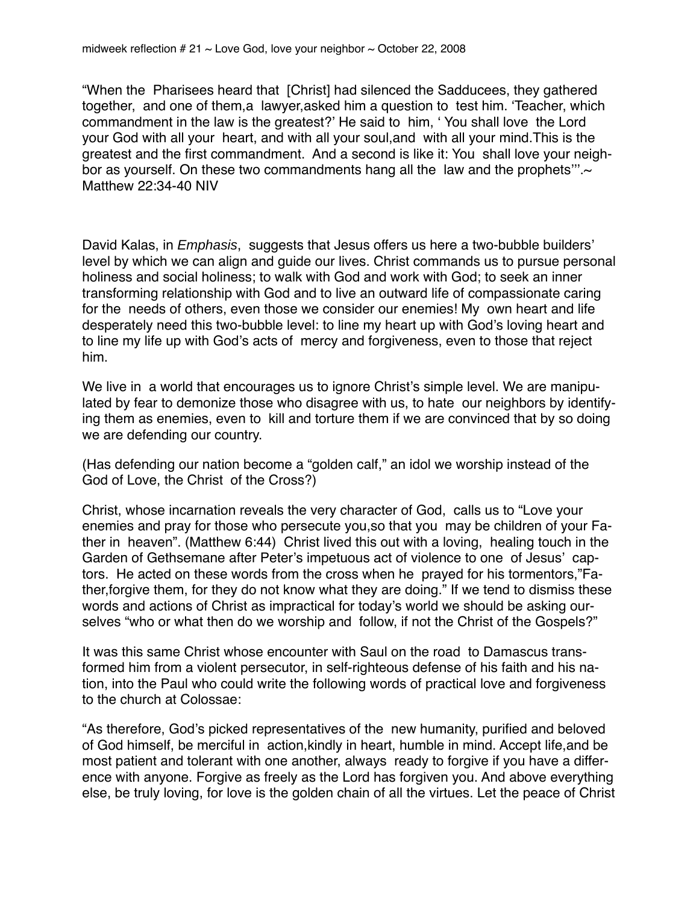"When the Pharisees heard that [Christ] had silenced the Sadducees, they gathered together, and one of them,a lawyer,asked him a question to test him. 'Teacher, which commandment in the law is the greatest?' He said to him, ' You shall love the Lord your God with all your heart, and with all your soul,and with all your mind.This is the greatest and the first commandment. And a second is like it: You shall love your neighbor as yourself. On these two commandments hang all the law and the prophets"'. $\sim$ Matthew 22:34-40 NIV

David Kalas, in *Emphasis*, suggests that Jesus offers us here a two-bubble builders' level by which we can align and guide our lives. Christ commands us to pursue personal holiness and social holiness; to walk with God and work with God; to seek an inner transforming relationship with God and to live an outward life of compassionate caring for the needs of others, even those we consider our enemies! My own heart and life desperately need this two-bubble level: to line my heart up with God's loving heart and to line my life up with God's acts of mercy and forgiveness, even to those that reject him.

We live in a world that encourages us to ignore Christ's simple level. We are manipulated by fear to demonize those who disagree with us, to hate our neighbors by identifying them as enemies, even to kill and torture them if we are convinced that by so doing we are defending our country.

(Has defending our nation become a "golden calf," an idol we worship instead of the God of Love, the Christ of the Cross?)

Christ, whose incarnation reveals the very character of God, calls us to "Love your enemies and pray for those who persecute you,so that you may be children of your Father in heaven". (Matthew 6:44) Christ lived this out with a loving, healing touch in the Garden of Gethsemane after Peter's impetuous act of violence to one of Jesus' captors. He acted on these words from the cross when he prayed for his tormentors,"Father,forgive them, for they do not know what they are doing." If we tend to dismiss these words and actions of Christ as impractical for today's world we should be asking ourselves "who or what then do we worship and follow, if not the Christ of the Gospels?"

It was this same Christ whose encounter with Saul on the road to Damascus transformed him from a violent persecutor, in self-righteous defense of his faith and his nation, into the Paul who could write the following words of practical love and forgiveness to the church at Colossae:

"As therefore, God's picked representatives of the new humanity, purified and beloved of God himself, be merciful in action,kindly in heart, humble in mind. Accept life,and be most patient and tolerant with one another, always ready to forgive if you have a difference with anyone. Forgive as freely as the Lord has forgiven you. And above everything else, be truly loving, for love is the golden chain of all the virtues. Let the peace of Christ